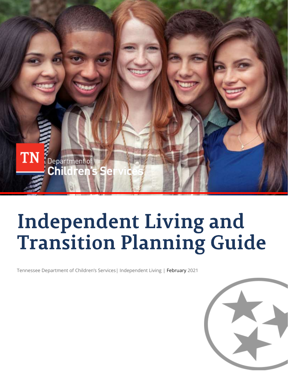

# **Independent Living and<br>Transition Planning Guide**

Tennessee Department of Children's Services| Independent Living | February 2021

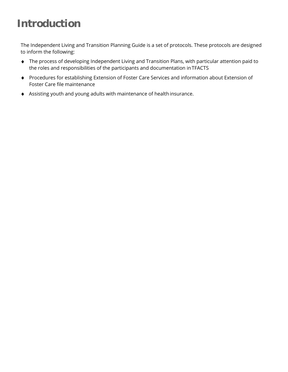## **Introduction**

The Independent Living and Transition Planning Guide is a set of protocols. These protocols are designed to inform the following:

- The process of developing Independent Living and Transition Plans, with particular attention paid to the roles and responsibilities of the participants and documentation inTFACTS
- Procedures for establishing Extension of Foster Care Services and information about Extension of Foster Care file maintenance
- Assisting youth and young adults with maintenance of health insurance.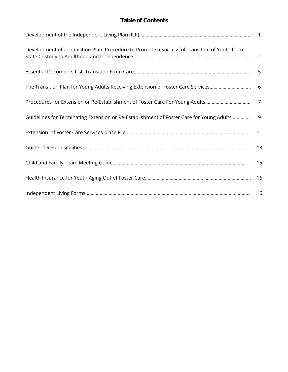#### **Table of Contents**

| Development of a Transition Plan: Procedure to Promote a Successful Transition of Youth from |    |
|----------------------------------------------------------------------------------------------|----|
|                                                                                              |    |
|                                                                                              |    |
|                                                                                              |    |
| Guidelines for Terminating Extension or Re-Establishment of Foster Care for Young Adults     |    |
|                                                                                              | 11 |
|                                                                                              |    |
|                                                                                              | 15 |
|                                                                                              |    |
|                                                                                              |    |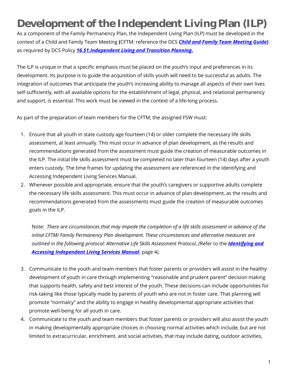## **Development of the Independent Living Plan (ILP)**

As a component of the Family Permanency Plan, the Independent Living Plan (ILP) must be developed in the context of a Child and Family Team Meeting **(**CFTM: reference the DCS *[Child and Family Team Meeting Guide](https://files.dcs.tn.gov/policies/chap31/CFTMGuide.pdf)***)**  as required by DCS Policy *[16.51,Independent Living and Transition Planning](https://files.dcs.tn.gov/policies/chap16/16.51.pdf)***.**

The ILP is unique in that a specific emphasis must be placed on the youth's input and preferences in its development. Its purpose is to guide the acquisition of skills youth will need to be successful as adults. The integration of outcomes that anticipate the youth's increasing ability to manage all aspects of their own lives self-sufficiently, with all available options for the establishment of legal, physical, and relational permanency and support, is essential. This work must be viewed in the context of a life-long process.

As part of the preparation of team members for the CFTM, the assigned FSW must:

- 1. Ensure that all youth in state custody age fourteen (14) or older complete the necessary life skills assessment, at least annually. This must occur in advance of plan development, as the results and recommendations generated from the assessment must guide the creation of measurable outcomes in the ILP. The initial life skills assessment must be completed no later than fourteen (14) days after a youth enters custody. The time frames for updating the assessment are referenced in the Identifying and Accessing Independent Living Services Manual.
- 2. Whenever possible and appropriate, ensure that the youth's caregivers or supportive adults complete the necessary life skills assessment. This must occur in advance of plan development, as the results and recommendations generated from the assessments must guide the creation of measurable outcomes goals in the ILP.

Note: *There are circumstances that may impede the completion of a life skills assessment in advance of the initial CFTM/ Family Permanency Plan development. These circumstances and alternative measures are outlined in the following protocol: Alternative Life Skills Assessment Protocol*, *(*Refer to the *[Identifying and](https://files.dcs.tn.gov/policies/chap16/IDandAccessingILSManual.pdf)  [Accessing Independent Living Services Manual](https://files.dcs.tn.gov/policies/chap16/IDandAccessingILSManual.pdf)*, page 4*).*

- 3. Communicate to the youth and team members that foster parents or providers will assist in the healthy development of youth in care through implementing "reasonable and prudent parent" decision making that supports health, safety and best interest of the youth. These decisions can include opportunities for risk-taking like those typically made by parents of youth who are not in foster care. That planning will promote "normalcy" and the ability to engage in healthy developmental appropriate activities that promote well-being for all youth in care.
- 4. Communicate to the youth and team members that foster parents or providers will also assist the youth in making developmentally appropriate choices in choosing normal activities which include, but are not limited to extracurricular, enrichment, and social activities, that may include dating, outdoor activities,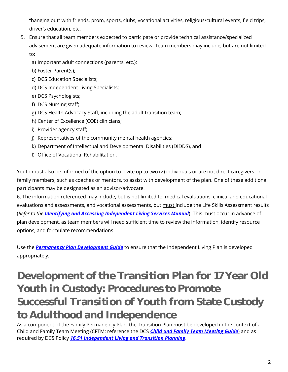"hanging out" with friends, prom, sports, clubs, vocational activities, religious/cultural events, field trips, driver's education, etc.

- 5. Ensure that all team members expected to participate or provide technical assistance/specialized advisement are given adequate information to review. Team members may include, but are not limited to:
	- a) Important adult connections (parents, etc.);
	- b) Foster Parent(s);
	- c) DCS Education Specialists;
	- d) DCS Independent Living Specialists;
	- e) DCS Psychologists;
	- f) DCS Nursing staff;
	- g) DCS Health Advocacy Staff, including the adult transition team;
	- h) Center of Excellence (COE) clinicians;
	- i) Provider agency staff;
	- j) Representatives of the community mental health agencies;
	- k) Department of Intellectual and Developmental Disabilities (DIDDS), and
	- l) Office of Vocational Rehabilitation.

Youth must also be informed of the option to invite up to two (2) individuals or are not direct caregivers or family members, such as coaches or mentors, to assist with development of the plan. One of these additional participants may be designated as an advisor/advocate.

6. The information referenced may include, but is not limited to, medical evaluations, clinical and educational evaluations and assessments, and vocational assessments, but must include the Life Skills Assessment results (*Refer to the [Identifying and Accessing Independent Living Services Manual](https://files.dcs.tn.gov/policies/chap16/IDandAccessingILSManual.pdf)*). This must occur in advance of plan development, as team members will need sufficient time to review the information, identify resource options, and formulate recommendations.

Use the *[Permanency Plan Development](https://files.dcs.tn.gov/policies/chap16/PPDevGuide.pdf) Guide* to ensure that the Independent Living Plan is developed appropriately.

## **Development of the Transition Plan for 17 Year Old Youth in Custody: Procedures to Promote Successful Transition of Youth from State Custody to Adulthood and Independence**

As a component of the Family Permanency Plan, the Transition Plan must be developed in the context of a Child and Family Team Meeting (CFTM: reference the DCS *[Child and Family Team Meeting Guide](https://files.dcs.tn.gov/policies/chap31/CFTMGuide.pdf)*) and as required by DCS Policy *[16.51 Independent Living and Transition Planning](https://files.dcs.tn.gov/policies/chap16/16.51.pdf)*.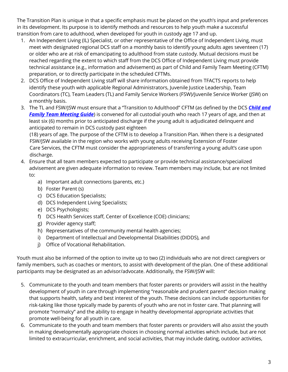The Transition Plan is unique in that a specific emphasis must be placed on the youth's input and preferences in its development. Its purpose is to identify methods and resources to help youth make a successful transition from care to adulthood, when developed for youth in custody age 17 and up.

- 1. An Independent Living (IL) Specialist, or other representative of the Office of Independent Living, must meet with designated regional DCS staff on a monthly basis to identify young adults ages seventeen (17) or older who are at risk of emancipating to adulthood from state custody. Mutual decisions must be reached regarding the extent to which staff from the DCS Office of Independent Living must provide technical assistance (e.g., information and advisement) as part of Child and Family Team Meeting (CFTM) preparation, or to directly participate in the scheduled CFTMs.
- 2. DCS Office of Independent Living staff will share information obtained from TFACTS reports to help identify these youth with applicable Regional Administrators, Juvenile Justice Leadership, Team Coordinators (TC), Team Leaders (TL) and Family Service Workers (FSW)/Juvenile Service Worker (JSW) on a monthly basis.
- 3. The TL and FSW/JSW must ensure that a "Transition to Adulthood" CFTM (as defined by th[e DCS](https://files.dcs.tn.gov/policies/chap31/31.7.pdf) *[Child and](https://files.dcs.tn.gov/policies/chap31/CFTMGuide.pdf)  [Family Team Meeting Guide](https://files.dcs.tn.gov/policies/chap31/CFTMGuide.pdf)*) is convened for all custodial youth who reach 17 years of age, and then at least six (6) months prior to anticipated discharge if the young adult is adjudicated delinquent and anticipated to remain in DCS custody past eighteen

(18) years of age. The purpose of the CFTM is to develop a Transition Plan. When there is a designated FSW/JSW available in the region who works with young adults receiving Extension of Foster Care Services, the CFTM must consider the appropriateness of transferring a young adult's case upon discharge.

- 4. Ensure that all team members expected to participate or provide technical assistance/specialized advisement are given adequate information to review. Team members may include, but are not limited to:
	- a) Important adult connections (parents, etc.)
	- b) Foster Parent (s)
	- c) DCS Education Specialists;
	- d) DCS Independent Living Specialists;
	- e) DCS Psychologists;
	- f) DCS Health Services staff, Center of Excellence (COE) clinicians;
	- g) Provider agency staff;
	- h) Representatives of the community mental health agencies;
	- i) Department of Intellectual and Developmental Disabilities (DIDDS), and
	- j) Office of Vocational Rehabilitation.

Youth must also be informed of the option to invite up to two (2) individuals who are not direct caregivers or family members, such as coaches or mentors, to assist with development of the plan. One of these additional participants may be designated as an advisor/advocate. Additionally, the FSW/JSW will:

- 5. Communicate to the youth and team members that foster parents or providers will assist in the healthy development of youth in care through implementing "reasonable and prudent parent" decision making that supports health, safety and best interest of the youth. These decisions can include opportunities for risk-taking like those typically made by parents of youth who are not in foster care. That planning will promote "normalcy" and the ability to engage in healthy developmental appropriate activities that promote well-being for all youth in care.
- 6. Communicate to the youth and team members that foster parents or providers will also assist the youth in making developmentally appropriate choices in choosing normal activities which include, but are not limited to extracurricular, enrichment, and social activities, that may include dating, outdoor activities,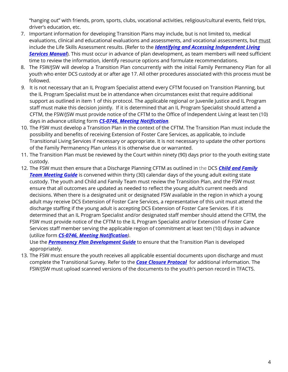"hanging out" with friends, prom, sports, clubs, vocational activities, religious/cultural events, field trips, driver's education, etc.

- 7. Important information for developing Transition Plans may include, but is not limited to, medical evaluations, clinical and educational evaluations and assessments, and vocational assessments, but must include the Life Skills Assessment results. (Refer to the *[Identifying and Accessing Independent Living](https://files.dcs.tn.gov/policies/chap16/IDandAccessingILSManual.pdf)*  **[Services Manual](https://files.dcs.tn.gov/policies/chap16/IDandAccessingILSManual.pdf)**). This must occur in advance of plan development, as team members will need sufficient time to review the information, identify resource options and formulate recommendations.
- 8. The FSW/JSW will develop a Transition Plan concurrently with the initial Family Permanency Plan for all youth who enter DCS custody at or after age 17. All other procedures associated with this process must be followed.
- *9.* It is not necessary that an IL Program Specialist attend every CFTM focused on Transition Planning, but the IL Program Specialist must be in attendance when circumstances exist that require additional support as outlined in item 1 of this protocol. The applicable regional or Juvenile Justice and IL Program staff must make this decision jointly. If it is determined that an IL Program Specialist should attend a CFTM, the FSW/JSW must provide notice of the CFTM to the Office of Independent Living at least ten (10) days in advance utilizing form *[CS-0746, Meeting Notification](https://files.dcs.tn.gov/intranet/forms/0746.doc).*
- 10. The FSW must develop a Transition Plan in the context of the CFTM. The Transition Plan must include the possibility and benefits of receiving Extension of Foster Care Services, as applicable, to include Transitional Living Services if necessary or appropriate. It is not necessary to update the other portions of the Family Permanency Plan unless it is otherwise due or warranted.
- 11. The Transition Plan must be reviewed by the Court within ninety (90) days prior to the youth exiting state custody.
- 12. The FSW must then ensure that a Discharge Planning CFTM as outlined in the DCS *[Child and Family](https://files.dcs.tn.gov/policies/chap31/CFTMGuide.pdf)  [Team Meeting Guide](https://files.dcs.tn.gov/policies/chap31/CFTMGuide.pdf)* is convened within thirty (30) calendar days of the young adult exiting state custody. The youth and Child and Family Team must review the Transition Plan, and the FSW must ensure that all outcomes are updated as needed to reflect the young adult's current needs and decisions. When there is a designated unit or designated FSW available in the region in which a young adult may receive DCS Extension of Foster Care Services, a representative of this unit must attend the discharge staffing if the young adult is accepting DCS Extension of Foster Care Services. If it is determined that an IL Program Specialist and/or designated staff member should attend the CFTM, the FSW must provide notice of the CFTM to the IL Program Specialist and/or Extension of Foster Care Services staff member serving the applicable region of commitment at least ten (10) days in advance (utilize form *[CS-0746, Meeting Notification](https://files.dcs.tn.gov/intranet/forms/0746.doc))*.

Use the *[Permanency Plan Development](https://files.dcs.tn.gov/policies/chap16/PPDevGuide.pdf) Guide* to ensure that the Transition Plan is developed appropriately.

13. The FSW must ensure the youth receives all applicable essential documents upon discharge and must complete the Transitional Survey. Refer to the *[Case Closure Protocol](https://files.dcs.tn.gov/policies/chap13/CaseClosureProtocol.pdf)* for additional information. The FSW/JSW must upload scanned versions of the documents to the youth's person record in TFACTS.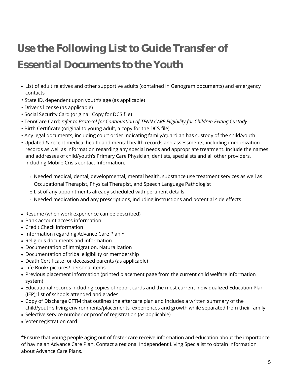## **Use the Following List to Guide Transfer of Essential Documents to the Youth**

- List of adult relatives and other supportive adults (contained in Genogram documents) and emergency contacts
- State ID, dependent upon youth's age (as applicable)
- Driver's license (as applicable)
- Social Security Card (original, Copy for DCS file)
- TennCare Card: *refer to Protocol for Continuation of TENN CARE Eligibility for Children Exiting Custody*
- Birth Certificate (original to young adult, a copy for the DCS file)
- Any legal documents, including court order indicating family/guardian has custody of the child/youth
- Updated & recent medical health and mental health records and assessments, including immunization records as well as information regarding any special needs and appropriate treatment. Include the names and addresses of child/youth's Primary Care Physician, dentists, specialists and all other providers, including Mobile Crisis contact Information.
	- o Needed medical, dental, developmental, mental health, substance use treatment services as well as Occupational Therapist, Physical Therapist, and Speech Language Pathologist
	- o List of any appointments already scheduled with pertinent details
	- $\circ$  Needed medication and any prescriptions, including instructions and potential side effects
- Resume (when work experience can be described)
- Bank account access information
- Credit Check Information
- Information regarding Advance Care Plan \*
- Religious documents and information
- Documentation of Immigration, Naturalization
- Documentation of tribal eligibility or membership
- Death Certificate for deceased parents (as applicable)
- Life Book/ pictures/ personal items
- Previous placement information (printed placement page from the current child welfare information system)
- Educational records including copies of report cards and the most current Individualized Education Plan (IEP); list of schools attended and grades
- Copy of Discharge CFTM that outlines the aftercare plan and includes a written summary of the child/youth's living environments/placements, experiences and growth while separated from their family
- Selective service number or proof of registration (as applicable)
- Voter registration card

\*Ensure that young people aging out of foster care receive information and education about the importance of having an Advance Care Plan. Contact a regional Independent Living Specialist to obtain information about Advance Care Plans.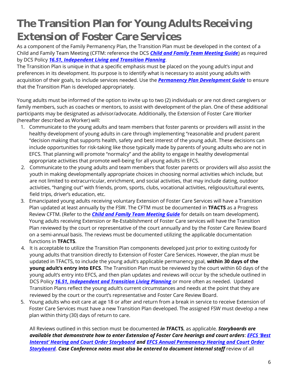## **The Transition Plan for Young Adults Receiving Extension of Foster Care Services**

As a component of the Family Permanency Plan, the Transition Plan must be developed in the context of a Child and Family Team Meeting (CFTM: reference the DCS *[Child and Family Team Meeting Guide](https://files.dcs.tn.gov/policies/chap31/CFTMGuide.pdf)*) as required by DCS Policy *16.51, Independent [Living and Transition Planning](https://files.dcs.tn.gov/policies/chap16/16.51.pdf)*.

The Transition Plan is unique in that a specific emphasis must be placed on the young adult's input and preferences in its development. Its purpose is to identify what is necessary to assist young adults with acquisition of their goals, to include services needed. Use the *[Permanency Plan Development Guide](https://files.dcs.tn.gov/policies/chap16/PPDevGuide.pdf)* to ensure that the Transition Plan is developed appropriately.

Young adults must be informed of the option to invite up to two (2) individuals or are not direct caregivers or family members, such as coaches or mentors, to assist with development of the plan. One of these additional participants may be designated as advisor/advocate. Additionally, the Extension of Foster Care Worker (hereafter described as Worker) will:

- 1. Communicate to the young adults and team members that foster parents or providers will assist in the healthy development of young adults in care through implementing "reasonable and prudent parent "decision making that supports health, safety and best interest of the young adult. These decisions can include opportunities for risk-taking like those typically made by parents of young adults who are not in EFCS. That planning will promote "normalcy" and the ability to engage in healthy developmental appropriate activities that promote well-being for all young adults in EFCS.
- 2. Communicate to the young adults and team members that foster parents or providers will also assist the youth in making developmentally appropriate choices in choosing normal activities which include, but are not limited to extracurricular, enrichment, and social activities, that may include dating, outdoor activities, "hanging out" with friends, prom, sports, clubs, vocational activities, religious/cultural events, field trips, driver's education, etc.
- 3. Emancipated young adults receiving voluntary Extension of Foster Care Services will have a Transition Plan updated at least annually by the FSW. The CFTM must be documented in **TFACTS** as a Progress Review CFTM. (Refer to the *[Child and Family Team Meeting Guide](https://files.dcs.tn.gov/policies/chap31/CFTMGuide.pdf)* for details on team development). Young adults receiving Extension or Re-Establishment of Foster Care services will have the Transition Plan reviewed by the court or representative of the court annually and by the Foster Care Review Board on a semi-annual basis. The reviews must be documented utilizing the applicable documentation functions in **TFACTS**.
- 4. It is acceptable to utilize the Transition Plan components developed just prior to exiting custody for young adults that transition directly to Extension of Foster Care Services. However, the plan must be updated in TFACTS, to include the young adult's applicable permanency goal, **within 30 days of the young adult's entry into EFCS**. The Transition Plan must be reviewed by the court within 60 days of the young adult's entry into EFCS, and then plan updates and reviews will occur by the schedule outlined in DCS Policy *[16.51, Independent and Transition Living Planning](https://files.dcs.tn.gov/policies/chap16/16.51.pdf)* or more often as needed. Updated Transition Plans reflect the young adult's current circumstances and needs at the point that they are reviewed by the court or the court's representative and Foster Care Review Board.
- 5. Young adults who exit care at age 18 or after and return from a break in service to receive Extension of Foster Care Services must have a new Transition Plan developed. The assigned FSW must develop a new plan within thirty (30) days of return to care.

All Reviews outlined in this section must be documented *in TF***ACTS**, as applicable*. Storyboards are available that demonstrate how to enter Extension of Foster Care hearings and court orders*: *[EFCS 'Best](https://www.tn.gov/content/dam/tn/dcs/documents/youthintransition/staff-info/EFCSBestInterestHearingandCourtOrderStoryboard.pdf)  [Interest' Hearing and Co](https://www.tn.gov/content/dam/tn/dcs/documents/youthintransition/staff-info/EFCSBestInterestHearingandCourtOrderStoryboard.pdf)urt Order Storyboard and [EFCS Annual Permanency](https://www.tn.gov/dcs/program-areas/youth-in-transition/yit/staff-info/perm-hearing-court.html) [Hearing and Court Order](https://www.tn.gov/dcs/program-areas/youth-in-transition/yit/staff-info/perm-hearing-court.html)*  **[Storyboard.](https://www.tn.gov/dcs/program-areas/youth-in-transition/yit/staff-info/perm-hearing-court.html)** Case Conference notes must also be entered to document internal staff review of all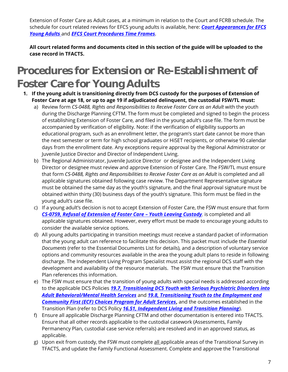Extension of Foster Care as Adult cases, at a minimum in relation to the Court and FCRB schedule. The schedule for court related reviews for EFCS young adults is available, here: *[Court Appearances for EFCS](https://www.tn.gov/content/dam/tn/dcs/documents/youthintransition/staff-info/DCS_Guide-Court_Appearances_EFCS_YA.pdf)  [Young Adults](https://www.tn.gov/content/dam/tn/dcs/documents/youthintransition/staff-info/DCS_Guide-Court_Appearances_EFCS_YA.pdf)* and *[EFCS Court Procedures Time Frames.](https://www.tn.gov/content/dam/tn/dcs/documents/youthintransition/staff-info/EFCS_Court_Procedures_Time_Frames.xlsx)*

**All court related forms and documents cited in this section of the guide will be uploaded to the case record in TFACTS.**

## **Procedures for Extension or Re-Establishment of Foster Care for Young Adults**

- **1. If the young adult is transitioning directly from DCS custody for the purposes of Extension of Foster Care at age 18, or up to age 19 if adjudicated delinquent, the custodial FSW/TL must:**
	- a) Review form *CS-0488, Rights and Responsibilities to Receive Foster Care as an Adult* with the youth during the Discharge Planning CFTM. The form must be completed and signed to begin the process of establishing Extension of Foster Care, and filed in the young adult's case file. The form must be accompanied by verification of eligibility. Note: if the verification of eligibility supports an educational program, such as an enrollment letter, the program's start date cannot be more than the next semester or term for high school graduates or HiSET recipients, or otherwise 90 calendar days from the enrollment date. Any exceptions require approval by the Regional Administrator or Juvenile Justice Director and Director of Independent Living.
	- b) The Regional Administrator, Juvenile Justice Director or designee and the Independent Living Director or designee must review and approve Extension of Foster Care. The FSW/TL must ensure that form CS-0488, Rights and Responsibilities to Receive Foster Care as an Adult is completed and all applicable signatures obtained following case review. The Department Representative signature must be obtained the same day as the youth's signature, and the final approval signature must be obtained within thirty (30) business days of the youth's signature. This form must be filed in the young adult's case file.
	- c) If a young adult's decision is not to accept Extension of Foster Care, the FSW must ensure that form *[CS-0759, Refusal of Extension of Foster Care](https://files.dcs.tn.gov/intranet/forms/0759.doc) – Youth Leaving Custody,* is completed and all applicable signatures obtained. However, every effort must be made to encourage young adults to consider the available service options.
	- d) All young adults participating in transition meetings must receive a standard packet of information that the young adult can reference to facilitate this decision. This packet must include the *Essential Documents* (refer to the Essential Documents List for details), and a description of voluntary service options and community resources available in the area the young adult plans to reside in following discharge. The Independent Living Program Specialist must assist the regional DCS staff with the development and availability of the resource materials. The FSW must ensure that the Transition Plan references this information.
	- e) The FSW must ensure that the transition of young adults with special needs is addressed according to the applicable DCS Policies *[19.7, Transitioning DCS Youth with Serious Psychiatric](https://files.dcs.tn.gov/policies/chap19/19.7.pdf) Disorders into [Adult Behavioral/Mental Health Services](https://files.dcs.tn.gov/policies/chap19/19.7.pdf)* and *[19.8, Transitioning Youth to the Employment and](https://files.dcs.tn.gov/policies/chap19/19.8.pdf)*  **[Community First \(ECF\) Choices Program for Adult Services](https://files.dcs.tn.gov/policies/chap19/19.8.pdf)**, and the outcomes established in the Transition Plan (refer to DCS Policy *[16.51, Independent Living and Transition Planning](https://files.dcs.tn.gov/policies/chap16/16.51.pdf)*).
	- f) Ensure all applicable Discharge Planning CFTM and other documentation is entered into TFACTS. Ensure that all other records applicable to the custodial casework (Assessments, Family Permanency Plan, custodial case service referrals) are resolved and in an approved status, as applicable.
	- g) Upon exit from custody, the FSW must complete all applicable areas of the Transitional Survey in TFACTS, and update the Family Functional Assessment. Complete and approve the Transitional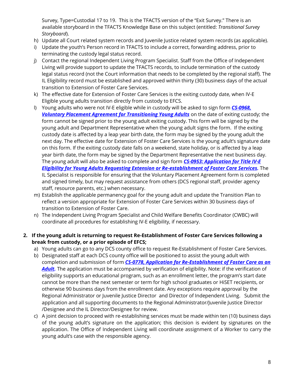Survey, Type=Custodial 17 to 19. This is the TFACTS version of the "Exit Survey." There is an available storyboard in the TFACTS Knowledge Base on this subject (entitled: *Transitional Survey Storyboard*).

- h) Update all Court related system records and Juvenile Justice related system records (as applicable).
- i) Update the youth's Person record in TFACTS to include a correct, forwarding address, prior to terminating the custody legal status record.
- j) Contact the regional Independent Living Program Specialist. Staff from the Office of Independent Living will provide support to update the TFACTS records, to include termination of the custody legal status record (not the Court information that needs to be completed by the regional staff). The IL Eligibility record must be established and approved within thirty (30) business days of the actual transition to Extension of Foster Care Services.
- k) The effective date for Extension of Foster Care Services is the exiting custody date, when IV-E Eligible young adults transition directly from custody to EFCS.
- l) Young adults who were not IV-E eligible while in custody will be asked to sign form *[CS-0968,](https://files.dcs.tn.gov/intranet/forms/0968.doc)  [Voluntary Placement Agreement for Transitioning Young Adults](https://files.dcs.tn.gov/intranet/forms/0968.doc)* on the date of exiting custody; the form cannot be signed prior to the young adult exiting custody. This form will be signed by the young adult and Department Representative when the young adult signs the form. If the exiting custody date is affected by a leap year birth date, the form may be signed by the young adult the next day. The effective date for Extension of Foster Care Services is the young adult's signature date on this form. If the exiting custody date falls on a weekend, state holiday, or is affected by a leap year birth date, the form may be signed by the Department Representative the next business day. The young adult will also be asked to complete and sign form *[CS-0953: Application for Title IV-E](https://files.dcs.tn.gov/intranet/forms/0953.doc)  [Eligibility for Young Adults Requesting Extension or Re-establishment of Foster Care Services.](https://files.dcs.tn.gov/intranet/forms/0953.doc)* The IL Specialist is responsible for ensuring that the Voluntary Placement Agreement form is completed and signed timely, but may request assistance from others (DCS regional staff, provider agency staff, resource parents, etc.) when necessary.
- m) Establish the applicable permanency goal for the young adult and update the Transition Plan to reflect a version appropriate for Extension of Foster Care Services within 30 business days of transition to Extension of Foster Care.
- n) The Independent Living Program Specialist and Child Welfare Benefits Coordinator (CWBC) will coordinate all procedures for establishing IV-E eligibility, if necessary.
- **2. If the young adult is returning to request Re-Establishment of Foster Care Services following a break from custody, or a prior episode of EFCS;**
	- a) Young adults can go to any DCS county office to request Re-Establishment of Foster Care Services.
	- b) Designated staff at each DCS county office will be positioned to assist the young adult with completion and submission of form *[CS-0778, Application for Re-Establishment of Foster Care as an](https://files.dcs.tn.gov/forms/0778.doc)  [Adult.](https://files.dcs.tn.gov/forms/0778.doc)* The application must be accompanied by verification of eligibility. Note: if the verification of eligibility supports an educational program, such as an enrollment letter, the program's start date cannot be more than the next semester or term for high school graduates or HiSET recipients, or otherwise 90 business days from the enrollment date. Any exceptions require approval by the Regional Administrator or Juvenile Justice Director and Director of Independent Living. Submit the application and all supporting documents to the Regional Administrator/Juvenile Justice Director /Designee and the IL Director/Designee for review.
	- c) A joint decision to proceed with re-establishing services must be made within ten (10) business days of the young adult's signature on the application; this decision is evident by signatures on the application. The Office of Independent Living will coordinate assignment of a Worker to carry the young adult's case with the responsible agency.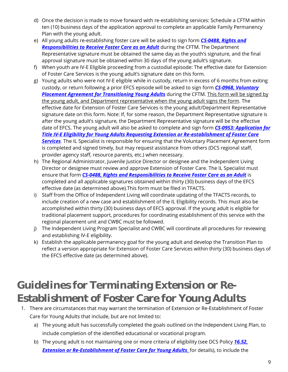- d) Once the decision is made to move forward with re-establishing services: Schedule a CFTM within ten (10) business days of the application approval to complete an applicable Family Permanency Plan with the young adult.
- e) All young adults re-establishing foster care will be asked to sign form *[CS-0488, Rights and](https://files.dcs.tn.gov/intranet/forms/0488.doc) [Responsibilities to Receive Foster Care as an Adult](https://files.dcs.tn.gov/intranet/forms/0488.doc)* during the CFTM. The Department Representative signature must be obtained the same day as the youth's signature, and the final approval signature must be obtained within 30 days of the young adult's signature.
- f) When youth are IV-E Eligible proceeding from a custodial episode: The effective date for Extension of Foster Care Services is the young adult's signature date on this form.
- g) Young adults who were not IV-E eligible while in custody, return in excess of 6 months from exiting custody, or return following a prior EFCS episode will be asked to sign form *[CS-0968, Voluntary](https://files.dcs.tn.gov/intranet/forms/0968.doc)*  **[Placement Agreement for Transitioning Young Adults](https://files.dcs.tn.gov/intranet/forms/0968.doc)** during the CFTM. This form will be signed by the young adult, and Department representative when the young adult signs the form. The effective date for Extension of Foster Care Services is the young adult/Department Representative signature date on this form. Note: If, for some reason, the Department Representative signature is after the young adult's signature, the Department Representative signature will be the effective date of EFCS. The young adult will also be asked to complete and sign form *[CS-0953: Application for](https://files.dcs.tn.gov/intranet/forms/0953.doc)  [Title IV-E Eligibility for Young Adults Requesting Extension or Re-establishment of Foster Care](https://files.dcs.tn.gov/intranet/forms/0953.doc)*  **[Services](https://files.dcs.tn.gov/intranet/forms/0953.doc)**. The IL Specialist is responsible for ensuring that the Voluntary Placement Agreement form is completed and signed timely, but may request assistance from others (DCS regional staff, provider agency staff, resource parents, etc.) when necessary.
- h) The Regional Administrator, Juvenile Justice Director or designee and the Independent Living Director or designee must review and approve Extension of Foster Care. The IL Specialist must ensure that form *[CS-0488, Rights and Responsibilities to Receive Foster Care as an Adult](https://files.dcs.tn.gov/intranet/forms/0488.doc)* is completed and all applicable signatures obtained within thirty (30) business days of the EFCS effective date (as determined above).This form must be filed in TFACTS.
- i) Staff from the Office of Independent Living will coordinate updating of the TFACTS records, to include creation of a new case and establishment of the IL Eligibility records. This must also be accomplished within thirty (30) business days of EFCS approval. If the young adult is eligible for traditional placement support, procedures for coordinating establishment of this service with the regional placement unit and CWBC must be followed.
- j) The Independent Living Program Specialist and CWBC will coordinate all procedures for reviewing and establishing IV-E eligibility.
- k) Establish the applicable permanency goal for the young adult and develop the Transition Plan to reflect a version appropriate for Extension of Foster Care Services within thirty (30) business days of the EFCS effective date (as determined above).

### **Guidelines for Terminating Extension or Re-Establishment of Foster Care for Young Adults**

- 1. There are circumstances that may warrant the termination of Extension or Re-Establishment of Foster Care for Young Adults that include, but are not limited to:
	- a) The young adult has successfully completed the goals outlined on the Independent Living Plan, to include completion of the identified educational or vocational program.
	- b) The young adult is not maintaining one or more criteria of eligibility (see DCS Policy *[16.52,](https://files.dcs.tn.gov/policies/chap16/16.52.pdf)*  **[Extension or Re-Establishment of Foster Care for Young Adults](https://files.dcs.tn.gov/policies/chap16/16.52.pdf)**, for details), to include the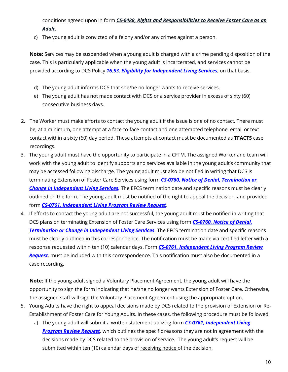conditions agreed upon in form *[CS-0488, Rights and](https://files.dcs.tn.gov/intranet/forms/0488.doc) [Responsibilities to Receive Foster Care as an](https://files.dcs.tn.gov/intranet/forms/0488.doc)  [Adult.](https://files.dcs.tn.gov/intranet/forms/0488.doc)*

c) The young adult is convicted of a felony and/or any crimes against a person.

**Note:** Services may be suspended when a young adult is charged with a crime pending disposition of the case. This is particularly applicable when the young adult is incarcerated, and services cannot be provided according to DCS Policy *[16.53, Eligibility for Independent Living Services](https://files.dcs.tn.gov/policies/chap16/16.53.pdf)*, on that basis.

- d) The young adult informs DCS that she/he no longer wants to receive services.
- e) The young adult has not made contact with DCS or a service provider in excess of sixty (60) consecutive business days.
- 2. The Worker must make efforts to contact the young adult if the issue is one of no contact. There must be, at a minimum, one attempt at a face-to-face contact and one attempted telephone, email or text contact within a sixty (60) day period. These attempts at contact must be documented as **TFACTS** case recordings.
- 3. The young adult must have the opportunity to participate in a CFTM. The assigned Worker and team will work with the young adult to identify supports and services available in the young adult's community that may be accessed following discharge. The young adult must also be notified in writing that DCS is terminating Extension of Foster Care Services using form *[CS-0760, Notice of Denial, Termination or](https://files.dcs.tn.gov/intranet/forms/0760.doc)  Change [in Independent Living Services.](https://files.dcs.tn.gov/intranet/forms/0760.doc)* The EFCS termination date and specific reasons must be clearly outlined on the form. The young adult must be notified of the right to appeal the decision, and provided form *[CS-0761, Independent Living](https://files.dcs.tn.gov/forms/0761.doc) Program Review Request*.
- 4. If efforts to contact the young adult are not successful, the young adult must be notified in writing that DCS plans on terminating Extension of Foster Care Services using form *[CS-0760, Notice of Denial,](https://files.dcs.tn.gov/intranet/forms/0760.doc)  [Termination or Change in Independent Living Services](https://files.dcs.tn.gov/intranet/forms/0760.doc)*. The EFCS termination date and specific reasons must be clearly outlined in this correspondence. The notification must be made via certified letter with a response requested within ten (10) calendar days. Form *[CS-0761, Independent Living Program Review](https://files.dcs.tn.gov/forms/0761.doc)  [Request](https://files.dcs.tn.gov/forms/0761.doc),* must be included with this correspondence. This notification must also be documented in a case recording.

**Note:** If the young adult signed a Voluntary Placement Agreement, the young adult will have the opportunity to sign the form indicating that he/she no longer wants Extension of Foster Care. Otherwise, the assigned staff will sign the Voluntary Placement Agreement using the appropriate option.

- 5. Young Adults have the right to appeal decisions made by DCS related to the provision of Extension or Re-Establishment of Foster Care for Young Adults. In these cases, the following procedure must be followed:
	- a) The young adult will submit a written statement utilizing form *[CS-0761, Independent Living](https://files.dcs.tn.gov/forms/0761.doc)  [Program Review Request](https://files.dcs.tn.gov/forms/0761.doc),* which outlines the specific reasons they are not in agreement with the decisions made by DCS related to the provision of service. The young adult's request will be submitted within ten (10) calendar days of receiving notice of the decision.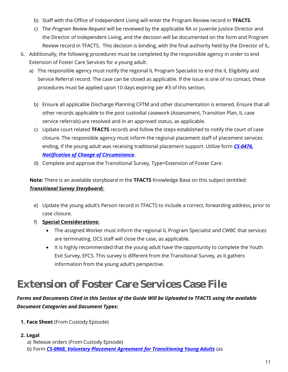- b) Staff with the Office of Independent Living will enter the Program Review record in **TFACTS**.
- c) The *Program Review Request* will be reviewed by the applicable RA or Juvenile Justice Director and the Director of Independent Living, and the decision will be documented on the form and Program Review record in TFACTS. This decision is binding, with the final authority held by the Director of IL.
- 6. Additionally, the following procedures must be completed by the responsible agency in order to end Extension of Foster Care Services for a young adult:
	- a) The responsible agency must notify the regional IL Program Specialist to end the IL Eligibility and Service Referral record. The case can be closed as applicable. If the issue is one of no contact, these procedures must be applied upon 10 days expiring per #3 of this section.
		- b) Ensure all applicable Discharge Planning CFTM and other documentation is entered. Ensure that all other records applicable to the post custodial casework (Assessment, Transition Plan, IL case service referrals) are resolved and in an approved status, as applicable.
		- c) Update court related **TFACTS** records and follow the steps established to notify the court of case closure. The responsible agency must inform the regional placement staff of placement services ending, if the young adult was receiving traditional placement support. Utilize form *[CS-0476,](https://files.dcs.tn.gov/intranet/forms/0476.doc)  [Notification of Change of Circumstance.](https://files.dcs.tn.gov/intranet/forms/0476.doc)*
		- d) Complete and approve the Transitional Survey, Type=Extension of Foster Care.

**Note:** There is an available storyboard in the **TFACTS** Knowledge Base on this subject (entitled: *Transitional Survey Storyboard).*

- e) Update the young adult's Person record in TFACTS to include a correct, forwarding address, prior to case closure.
- f) **Special Considerations:**
	- The assigned Worker must inform the regional IL Program Specialist and CWBC that services are terminating. DCS staff will close the case, as applicable.
	- It is highly recommended that the young adult have the opportunity to complete the Youth Exit Survey, EFCS. This survey is different from the Transitional Survey, as it gathers information from the young adult's perspective.

## **Extension of Foster Care Services Case File**

#### *Forms and Documents Cited in this Section of the Guide Will be Uploaded to TFACTS using the available Document Categories and Document Types:*

- **1. Face Sheet** (From Custody Episode)
- **2. Legal**
	- a) Release orders (From Custody Episode)
	- b) Form *[CS-0968, Voluntary Placement Agreement for Transitioning Young Adults](https://files.dcs.tn.gov/intranet/forms/0968.doc)* (as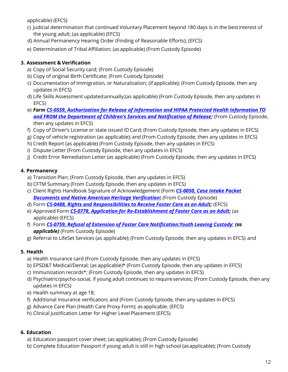applicable) (EFCS)

- c) Judicial determination that continued Voluntary Placement beyond 180 days is in the bestinterest of the young adult; (as applicable) (EFCS)
- d) Annual Permanency Hearing Order (Finding of Reasonable Efforts); (EFCS)
- e) Determination of Tribal Affiliation; (as applicable) (From Custody Episode)

#### **3. Assessment & Verification**

- a) Copy of Social Security card; (From Custody Episode)
- b) Copy of original Birth Certificate; (From Custody Episode)
- c) Documentation of Immigration, or Naturalization; (if applicable); (From Custody Episode, then any updates in EFCS)
- d) Life Skills Assessment updatedannually;(as applicable) (From Custody Episode, then any updates in EFCS)
- e) *Form CS-0559, Authorization for Release [of Information and HIPAA Protected Health Information TO](https://files.dcs.tn.gov/forms/0559.doc)  and FROM the [Department of Children's Services and Notification of Release](https://files.dcs.tn.gov/forms/0559.doc);* (From Custody Episode, then any updates in EFCS)
- f) Copy of Driver's License or state issued ID Card; (From Custody Episode, then any updates in EFCS)
- g) Copy of vehicle registration (as applicable); and (From Custody Episode, then any updates in EFCS)
- h) Credit Report (as applicable) (From Custody Episode, then any updates in EFCS)
- i) Dispute Letter (From Custody Episode, then any updates in EFCS)
- j) Credit Error Remediation Letter (as applicable) (From Custody Episode, then any updates in EFCS)

#### **4. Permanency**

- a) Transition Plan; (From Custody Episode, then any updates in EFCS)
- b) CFTM Summary (From Custody Episode, then any updates in EFCS)
- c) Client Rights Handbook Signature of Acknowledgement (Form *[CS-0050, Case Intake Packet](https://files.dcs.tn.gov/intranet/forms/0050.docx)  Documents [and Native American Heritage](https://files.dcs.tn.gov/intranet/forms/0050.docx) Verification*) (From Custody Episode)
- d) Form *[CS-0488, Rights and](https://files.dcs.tn.gov/intranet/forms/0488.doc) [Responsibilities to Receive Foster Care as an Adult;](https://files.dcs.tn.gov/intranet/forms/0488.doc)* (EFCS)
- e) Approved Form *[CS-0778, Application for Re-Establishment of Foster Care as an Adult;](https://files.dcs.tn.gov/forms/0778.doc)* (as applicable) (EFCS)
- f) Form *CS-0759, Refusal of Extension of Foster [Care Notification:Youth Leaving Custody](https://files.dcs.tn.gov/intranet/forms/0759.doc)*; *(as applicable)* (From Custody Episode)
- g) Referral to LifeSet Services (as applicable); (From Custody Episode, then any updates in EFCS) and

#### **5. Health**

- a) Health Insurance card (From Custody Episode, then any updates in EFCS)
- b) EPSD&T Medical/Dental; (as applicable)\* (From Custody Episode, then any updates in EFCS)
- c) Immunization records\*; (From Custody Episode, then any updates in EFCS)
- d) Psychiatric/psycho-social, if young adult continues to requireservices; (From Custody Episode, then any updates in EFCS)
- e) Health summary at age 18;
- f) Additional Insurance verification; and (From Custody Episode, then any updates in EFCS)
- g) Advance Care Plan (Health Care Proxy Form); as applicable. (EFCS)
- h) Clinical Justification Letter for Higher Level Placement (EFCS)

#### **6. Education**

- a) Education passport cover sheet; (as applicable); (From Custody Episode)
- b) Complete Education Passport if young adult is still in high school (asapplicable); (From Custody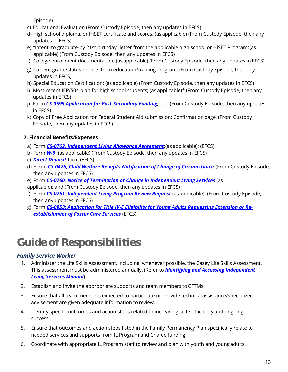Episode)

- c) Educational Evaluation (From Custody Episode, then any updates in EFCS)
- d) High school diploma, or HiSET certificate and scores; (as applicable) (From Custody Episode, then any updates in EFCS)
- e) "Intent–to graduate-by 21st birthday" letter from the applicable high school or HiSET Program;(as applicable) (From Custody Episode, then any updates in EFCS)
- f) College enrollment documentation; (as applicable) (From Custody Episode, then any updates in EFCS)
- g) Current grade/status reports from education/trainingprogram; (From Custody Episode, then any updates in EFCS)
- h) Special Education Certification; (as applicable) (From Custody Episode, then any updates in EFCS)
- i) Most recent IEP/504 plan for high school students; (as applicable)\* (From Custody Episode, then any updates in EFCS)
- j) Form *[CS-0599 Application for Post-Secondary Funding;](https://files.dcs.tn.gov/intranet/forms/0599.doc)* and (From Custody Episode, then any updates in EFCS)
- k) Copy of Free Application for Federal Student Aid submission: Confirmationpage. (From Custody Episode, then any updates in EFCS)

#### **7. Financial Benefits/Expenses**

- a) Form *[CS-0762, Independent Living Allowance Agreement](https://files.dcs.tn.gov/intranet/forms/0762.doc)*;(as applicable); (EFCS)
- b) Form *[W-9](https://www.irs.gov/pub/irs-pdf/fw9.pdf)* ;(as applicable) (From Custody Episode, then any updates in EFCS)
- c) *[Direct Deposit](https://files.dcs.tn.gov/intranet/forms/SupDirDepAuth.pdf)* form (EFCS)
- d) Form *[CS-0476, Child Welfare Benefits Notification of Change of Circumstance](https://files.dcs.tn.gov/intranet/forms/0476.doc)* (From Custody Episode, then any updates in EFCS)
- e) Form *[CS-0760, Notice of Termination or Change in Independent Living Services](https://files.dcs.tn.gov/intranet/forms/0760.doc)* (as
- applicable); and (From Custody Episode, then any updates in EFCS)
- f) Form *[CS-0761, Independent Living Program Review Request](https://files.dcs.tn.gov/forms/0761.doc)* (as applicable). (From Custody Episode, then any updates in EFCS)
- g) Form *[CS-0953: Application for Title IV-E Eligibility for Young Adults Requesting Extension or Re](https://files.dcs.tn.gov/intranet/forms/0953.doc)[establishment of Foster Care Services](https://files.dcs.tn.gov/intranet/forms/0953.doc)* (EFCS)

## **Guide of Responsibilities**

#### *Family Service Worker*

- 1. Administer the Life Skills Assessment, including, whenever possible, the Casey Life Skills Assessment. This assessment must be administered annually. (Refer to *[Identifying and Accessing Independent](https://files.dcs.tn.gov/policies/chap16/IDandAccessingILSManual.pdf)  [Living Services](https://files.dcs.tn.gov/policies/chap16/IDandAccessingILSManual.pdf) Manual*).
- 2. Establish and invite the appropriate supports and team members to CFTMs.
- 3. Ensure that all team members expected to participate or provide technicalassistance/specialized advisement are given adequate information to review.
- 4. Identify specific outcomes and action steps related to increasing self-sufficiency and ongoing success.
- 5. Ensure that outcomes and action steps listed in the Family Permanency Plan specifically relate to needed services and supports from IL Program and Chafee funding.
- 6. Coordinate with appropriate IL Program staff to review and plan with youth and youngadults.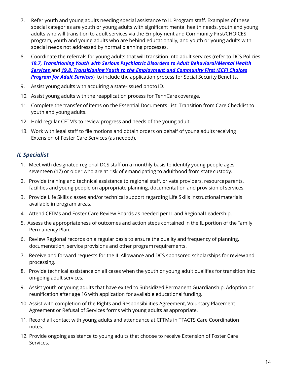- 7. Refer youth and young adults needing special assistance to IL Program staff. Examples of these special categories are youth or young adults with significant mental health needs, youth and young adults who will transition to adult services via the Employment and Community First/CHOICES program, youth and young adults who are behind educationally, and youth or young adults with special needs not addressed by normal planning processes.
- 8. Coordinate the referrals for young adults that will transition into adult services (refer to DCS Policies *[19.7, Transitioning Youth with Serious Psychiatric Disorders to Adult](https://files.dcs.tn.gov/policies/chap19/19.7.pdf) Behavioral/Mental Health [Services](https://files.dcs.tn.gov/policies/chap19/19.7.pdf)* and *19.8, Transitioning Youth [to the Employment and Community First \(ECF\) Choices](https://files.dcs.tn.gov/policies/chap19/19.8.pdf)*  **[Program for Adult Services](https://files.dcs.tn.gov/policies/chap19/19.8.pdf)**), to include the application process for Social Security Benefits.
- 9. Assist young adults with acquiring a state-issued photo ID.
- 10. Assist young adults with the reapplication process for TennCare coverage.
- 11. Complete the transfer of items on the Essential Documents List: Transition from Care Checklist to youth and young adults.
- 12. Hold regular CFTM's to review progress and needs of the young adult.
- 13. Work with legal staff to file motions and obtain orders on behalf of young adultsreceiving Extension of Foster Care Services (as needed).

#### *IL Specialist*

- 1. Meet with designated regional DCS staff on a monthly basis to identify young people ages seventeen (17) or older who are at risk of emancipating to adulthood from state custody.
- 2. Provide training and technical assistance to regional staff, private providers, resourceparents, facilities and young people on appropriate planning, documentation and provision of services.
- 3. Provide Life Skills classes and/or technical support regarding Life Skills instructionalmaterials available in program areas.
- 4. Attend CFTMs and Foster Care Review Boards as needed per IL and Regional Leadership.
- 5. Assess the appropriateness of outcomes and action steps contained in the IL portion of theFamily Permanency Plan.
- 6. Review Regional records on a regular basis to ensure the quality and frequency of planning, documentation, service provisions and other program requirements.
- 7. Receive and forward requests for the IL Allowance and DCS sponsored scholarships for reviewand processing.
- 8. Provide technical assistance on all cases when the youth or young adult qualifies for transition into on-going adult services.
- 9. Assist youth or young adults that have exited to Subsidized Permanent Guardianship, Adoption or reunification after age 16 with application for available educational funding.
- 10. Assist with completion of the Rights and Responsibilities Agreement, Voluntary Placement Agreement or Refusal of Services forms with young adults as appropriate.
- 11. Record all contact with young adults and attendance at CFTMs in TFACTS Care Coordination notes.
- 12. Provide ongoing assistance to young adults that choose to receive Extension of Foster Care Services.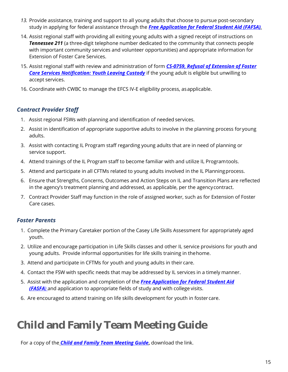- *13.* Provide assistance, training and support to all young adults that choose to pursue post-secondary study in applying for federal assistance through the *[Free Application for Federal Student Aid \(FAFSA\)](http://www.fafsa.ed.gov/).*
- 14. Assist regional staff with providing all exiting young adults with a signed receipt of instructions on **Tennessee 211** (a three-digit telephone number dedicated to the community that connects people with important community services and volunteer opportunities) and appropriate information for Extension of Foster Care Services.
- 15. Assist regional staff with review and administration of form *[CS-0759, Refusal of Extension of Foster](https://files.dcs.tn.gov/intranet/forms/0759.doc)  [Care Services Notification: Youth Leaving Custody](https://files.dcs.tn.gov/intranet/forms/0759.doc)* if the young adult is eligible but unwilling to accept services.
- 16. Coordinate with CWBC to manage the EFCS IV-E eligibility process, asapplicable.

#### *Contract Provider Staff*

- 1. Assist regional FSWs with planning and identification of needed services.
- 2. Assist in identification of appropriate supportive adults to involve in the planning process for young adults.
- 3. Assist with contacting IL Program staff regarding young adults that are in need of planning or service support.
- 4. Attend trainings of the IL Program staff to become familiar with and utilize IL Programtools.
- 5. Attend and participate in all CFTMs related to young adults involved in the IL Planningprocess.
- 6. Ensure that Strengths, Concerns, Outcomes and Action Steps on IL and Transition Plans are reflected in the agency's treatment planning and addressed, as applicable, per the agencycontract.
- 7. Contract Provider Staff may function in the role of assigned worker, such as for Extension of Foster Care cases.

#### *Foster Parents*

- 1. Complete the Primary Caretaker portion of the [Casey Life Skills Assessment f](http://www.caseylifeskills.org/pages/assess/assess_index.htm)or appropriately aged youth.
- 2. Utilize and encourage participation in Life Skills classes and other IL service provisions for youth and young adults. Provide informal opportunities for life skills training in thehome.
- 3. Attend and participate in CFTMs for youth and young adults in their care.
- 4. Contact the FSW with specific needs that may be addressed by IL services in a timely manner.
- 5. Assist with the application and completion of the *[Free Application for Federal Student Aid](http://www.fafsa.ed.gov/)  [\(FASFA](http://www.fafsa.ed.gov/))* and application to appropriate fields of study and with college visits.
- 6. Are encouraged to attend training on life skills development for youth in foster care.

## **Child and Family Team Meeting Guide**

For a copy of the *[Child and Family Team Meeting Guide](https://files.dcs.tn.gov/policies/chap31/CFTMGuide.pdf)***,** download the link.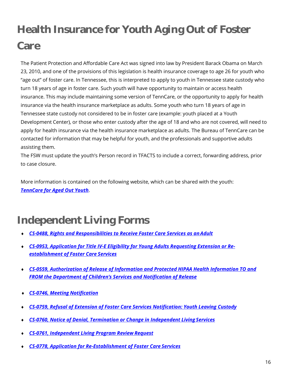# **Health Insurance for Youth Aging Out of Foster Care**

The Patient Protection and Affordable Care Act was signed into law by President Barack Obama on March 23, 2010, and one of the provisions of this legislation is health insurance coverage to age 26 for youth who "age out" of foster care. In Tennessee, this is interpreted to apply to youth in Tennessee state custody who turn 18 years of age in foster care. Such youth will have opportunity to maintain or access health insurance. This may include maintaining some version of TennCare, or the opportunity to apply for health insurance via the health insurance marketplace as adults. Some youth who turn 18 years of age in Tennessee state custody not considered to be in foster care (example: youth placed at a Youth Development Center), or those who enter custody after the age of 18 and who are not covered, will need to apply for health insurance via the health insurance marketplace as adults. The Bureau of TennCare can be contacted for information that may be helpful for youth, and the professionals and supportive adults assisting them.

The FSW must update the youth's Person record in TFACTS to include a correct, forwarding address, prior to case closure.

More information is contained on the following website, which can be shared with the youth: *[TennCare for Aged Out Youth](https://www.tn.gov/content/dam/tn/dcs/documents/youthintransition/youth-resources/TennCare%20for%20Aged%20Out%20Youth%2005-02-18%20FINAL.pdf)*.

## **Independent Living Forms**

- *[CS-0488, Rights and Responsibilities to Receive Foster Care Services as anAdult](https://files.dcs.tn.gov/intranet/forms/0488.doc)*
- *[CS-0953, Application for Title IV-E Eligibility for Young Adults Requesting Extension or Re](https://files.dcs.tn.gov/intranet/forms/0953.doc)[establishment of Foster Care](https://files.dcs.tn.gov/intranet/forms/0953.doc) Services*
- *[CS-0559, Authorization of Release of Information and Protected HIPAA Health Information TO and](https://files.dcs.tn.gov/forms/0559.doc)  [FROM the Department of Children's Services and Notification of Release](https://files.dcs.tn.gov/forms/0559.doc)*
- *[CS-0746, Meeting](https://files.dcs.tn.gov/intranet/forms/0746.doc) Notification*
- *[CS-0759, Refusal of Extension of Foster Care Services Notification: Youth Leaving Custody](https://files.dcs.tn.gov/intranet/forms/0759.doc)*
- *[CS-0760, Notice of Denial, Termination or Change in Independent Living](https://files.dcs.tn.gov/intranet/forms/0760.doc) Services*
- *[CS-0761, Independent Living Program Review](https://files.dcs.tn.gov/forms/0761.doc) Request*
- *[CS-0778, Application for Re-Establishment of Foster Care](https://files.dcs.tn.gov/forms/0778.doc) Services*